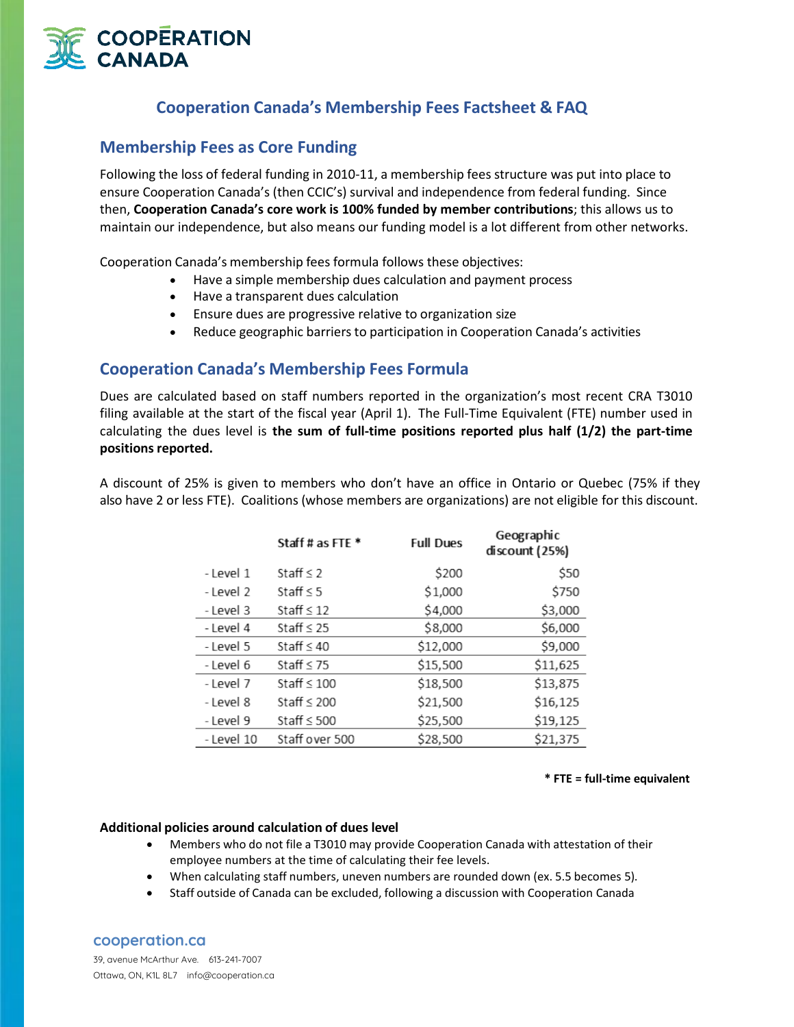

# **Cooperation Canada's Membership Fees Factsheet & FAQ**

## **Membership Fees as Core Funding**

Following the loss of federal funding in 2010-11, a membership fees structure was put into place to ensure Cooperation Canada's (then CCIC's) survival and independence from federal funding. Since then, **Cooperation Canada's core work is 100% funded by member contributions**; this allows us to maintain our independence, but also means our funding model is a lot different from other networks.

Cooperation Canada's membership fees formula follows these objectives:

- Have a simple membership dues calculation and payment process
- Have a transparent dues calculation
- Ensure dues are progressive relative to organization size
- Reduce geographic barriers to participation in Cooperation Canada's activities

## **Cooperation Canada's Membership Fees Formula**

Dues are calculated based on staff numbers reported in the organization's most recent CRA T3010 filing available at the start of the fiscal year (April 1). The Full-Time Equivalent (FTE) number used in calculating the dues level is **the sum of full-time positions reported plus half (1/2) the part-time** positions reported.

A discount of 25% is given to members who don't have an office in Ontario or Quebec (75% if they also have 2 or less FTE). Coalitions (whose members are organizations) are not eligible for this discount.

|            | Staff # as FTE * | <b>Full Dues</b> | Geographic<br>discount (25%) |
|------------|------------------|------------------|------------------------------|
| - Level 1  | Staff $\leq$ 2   | \$200            | \$50                         |
| - Level 2  | Staff $\leq$ 5   | \$1,000          | \$750                        |
| - Level 3  | Staff $\leq 12$  | \$4,000          | \$3,000                      |
| - Level 4  | Staff $\leq 25$  | \$8,000          | \$6,000                      |
| - Level 5  | Staff $\leq 40$  | \$12,000         | \$9,000                      |
| - Level 6  | Staff $\leq 75$  | \$15,500         | \$11,625                     |
| - Level 7  | Staff $\leq 100$ | \$18,500         | \$13,875                     |
| - Level 8  | Staff $\leq 200$ | \$21,500         | \$16,125                     |
| - Level 9  | Staff $\leq$ 500 | \$25,500         | \$19,125                     |
| - Level 10 | Staff over 500   | \$28,500         | \$21,375                     |

#### **\* FTE = full-time equivalent**

#### **Additional policies around calculation of dues level**

- Members who do not file a T3010 may provide Cooperation Canada with attestation of their employee numbers at the time of calculating their fee levels.
- When calculating staff numbers, uneven numbers are rounded down (ex. 5.5 becomes 5).
- Staff outside of Canada can be excluded, following a discussion with Cooperation Canada

### **cooperation.ca**

39, avenue McArthur Ave. 613-241-7007 Ottawa, ON, K1L 8L7 info@cooperation.ca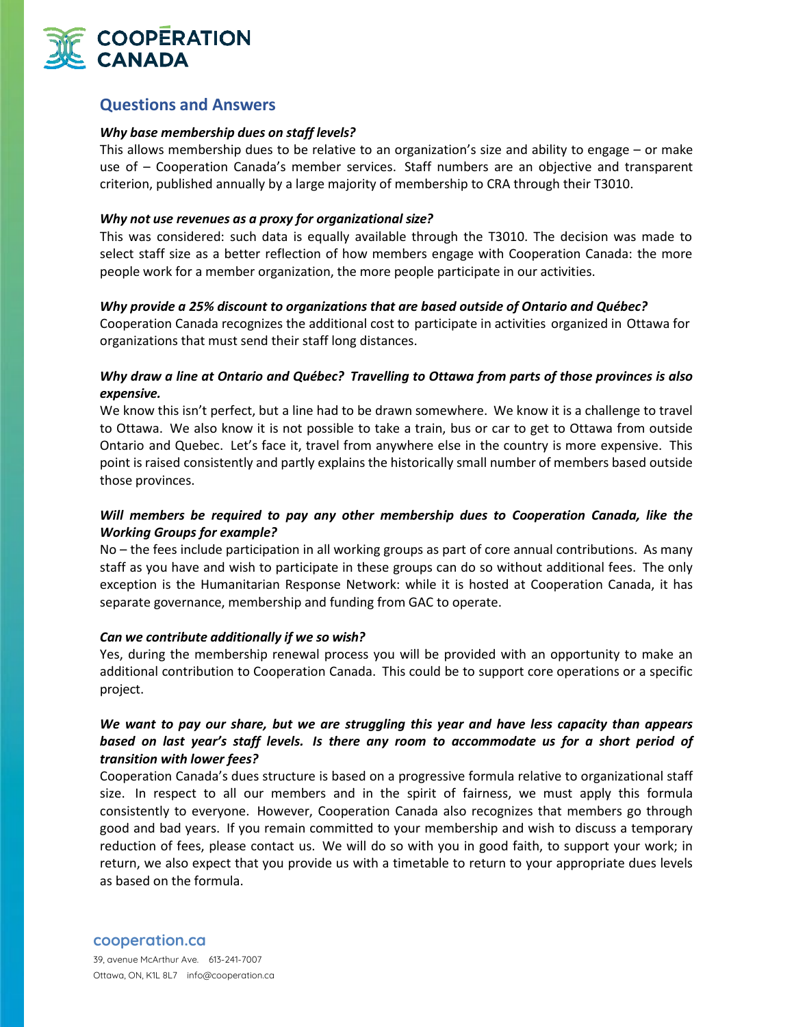

## **Questions and Answers**

#### *Why base membership dues on staff levels?*

This allows membership dues to be relative to an organization's size and ability to engage – or make use of – Cooperation Canada's member services. Staff numbers are an objective and transparent criterion, published annually by a large majority of membership to CRA through their T3010.

#### *Why not use revenues as a proxy for organizational size?*

This was considered: such data is equally available through the T3010. The decision was made to select staff size as a better reflection of how members engage with Cooperation Canada: the more people work for a member organization, the more people participate in our activities.

### *Why provide a 25% discount to organizations that are based outside of Ontario and Québec?*

Cooperation Canada recognizes the additional cost to participate in activities organized in Ottawa for organizations that must send their staff long distances.

## *Why draw a line at Ontario and Québec? Travelling to Ottawa from parts of those provinces is also expensive.*

We know this isn't perfect, but a line had to be drawn somewhere. We know it is a challenge to travel to Ottawa. We also know it is not possible to take a train, bus or car to get to Ottawa from outside Ontario and Quebec. Let's face it, travel from anywhere else in the country is more expensive. This point is raised consistently and partly explains the historically small number of members based outside those provinces.

## *Will members be required to pay any other membership dues to Cooperation Canada, like the Working Groups for example?*

No – the fees include participation in all working groups as part of core annual contributions. As many staff as you have and wish to participate in these groups can do so without additional fees. The only exception is the Humanitarian Response Network: while it is hosted at Cooperation Canada, it has separate governance, membership and funding from GAC to operate.

#### *Can we contribute additionally if we so wish?*

Yes, during the membership renewal process you will be provided with an opportunity to make an additional contribution to Cooperation Canada. This could be to support core operations or a specific project.

## *We want to pay our share, but we are struggling this year and have less capacity than appears based on last year's staff levels. Is there any room to accommodate us for a short period of transition with lower fees?*

Cooperation Canada's dues structure is based on a progressive formula relative to organizational staff size. In respect to all our members and in the spirit of fairness, we must apply this formula consistently to everyone. However, Cooperation Canada also recognizes that members go through good and bad years. If you remain committed to your membership and wish to discuss a temporary reduction of fees, please contact us. We will do so with you in good faith, to support your work; in return, we also expect that you provide us with a timetable to return to your appropriate dues levels as based on the formula.

**cooperation.ca**

39, avenue McArthur Ave. 613-241-7007 Ottawa, ON, K1L 8L7 info@cooperation.ca